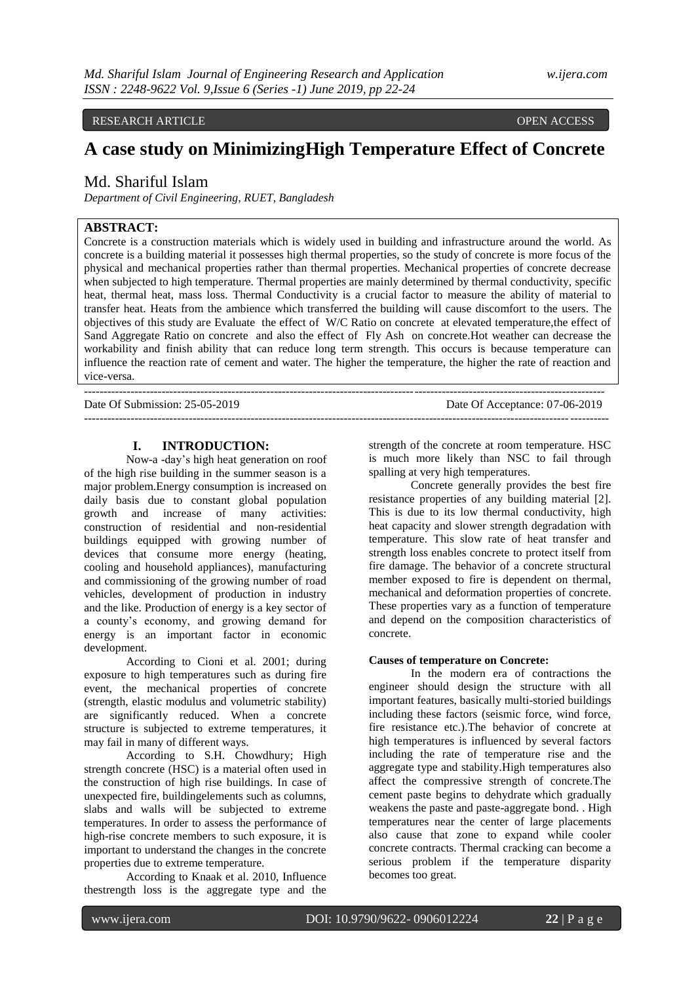# RESEARCH ARTICLE OPEN ACCESS

# **A case study on MinimizingHigh Temperature Effect of Concrete**

## Md. Shariful Islam

*Department of Civil Engineering, RUET, Bangladesh*

### **ABSTRACT:**

Concrete is a construction materials which is widely used in building and infrastructure around the world. As concrete is a building material it possesses high thermal properties, so the study of concrete is more focus of the physical and mechanical properties rather than thermal properties. Mechanical properties of concrete decrease when subjected to high temperature. Thermal properties are mainly determined by thermal conductivity, specific heat, thermal heat, mass loss. Thermal Conductivity is a crucial factor to measure the ability of material to transfer heat. Heats from the ambience which transferred the building will cause discomfort to the users. The objectives of this study are Evaluate the effect of W/C Ratio on concrete at elevated temperature,the effect of Sand Aggregate Ratio on concrete and also the effect of Fly Ash on concrete.Hot weather can decrease the workability and finish ability that can reduce long term strength. This occurs is because temperature can influence the reaction rate of cement and water. The higher the temperature, the higher the rate of reaction and vice-versa.

--------------------------------------------------------------------------------------------------------------------------------------

| Date Of Submission: 25-05-2019 |
|--------------------------------|

#### **I. INTRODUCTION:**

Now-a -day's high heat generation on roof of the high rise building in the summer season is a major problem.Energy consumption is increased on daily basis due to constant global population growth and increase of many activities: construction of residential and non-residential buildings equipped with growing number of devices that consume more energy (heating, cooling and household appliances), manufacturing and commissioning of the growing number of road vehicles, development of production in industry and the like. Production of energy is a key sector of a county's economy, and growing demand for energy is an important factor in economic development.

According to Cioni et al. 2001; during exposure to high temperatures such as during fire event, the mechanical properties of concrete (strength, elastic modulus and volumetric stability) are significantly reduced. When a concrete structure is subjected to extreme temperatures, it may fail in many of different ways.

According to S.H. Chowdhury; High strength concrete (HSC) is a material often used in the construction of high rise buildings. In case of unexpected fire, buildingelements such as columns, slabs and walls will be subjected to extreme temperatures. In order to assess the performance of high-rise concrete members to such exposure, it is important to understand the changes in the concrete properties due to extreme temperature.

According to Knaak et al. 2010, Influence thestrength loss is the aggregate type and the

strength of the concrete at room temperature. HSC is much more likely than NSC to fail through spalling at very high temperatures.

Date Of Acceptance: 07-06-2019 ---------------------------------------------------------------------------------------------------------------------------------------

Concrete generally provides the best fire resistance properties of any building material [2]. This is due to its low thermal conductivity, high heat capacity and slower strength degradation with temperature. This slow rate of heat transfer and strength loss enables concrete to protect itself from fire damage. The behavior of a concrete structural member exposed to fire is dependent on thermal, mechanical and deformation properties of concrete. These properties vary as a function of temperature and depend on the composition characteristics of concrete.

#### **Causes of temperature on Concrete:**

In the modern era of contractions the engineer should design the structure with all important features, basically multi-storied buildings including these factors (seismic force, wind force, fire resistance etc.).The behavior of concrete at high temperatures is influenced by several factors including the rate of temperature rise and the aggregate type and stability.High temperatures also affect the compressive strength of concrete.The cement paste begins to dehydrate which gradually weakens the paste and paste-aggregate bond. . High temperatures near the center of large placements also cause that zone to expand while cooler concrete contracts. Thermal cracking can become a serious problem if the temperature disparity becomes too great.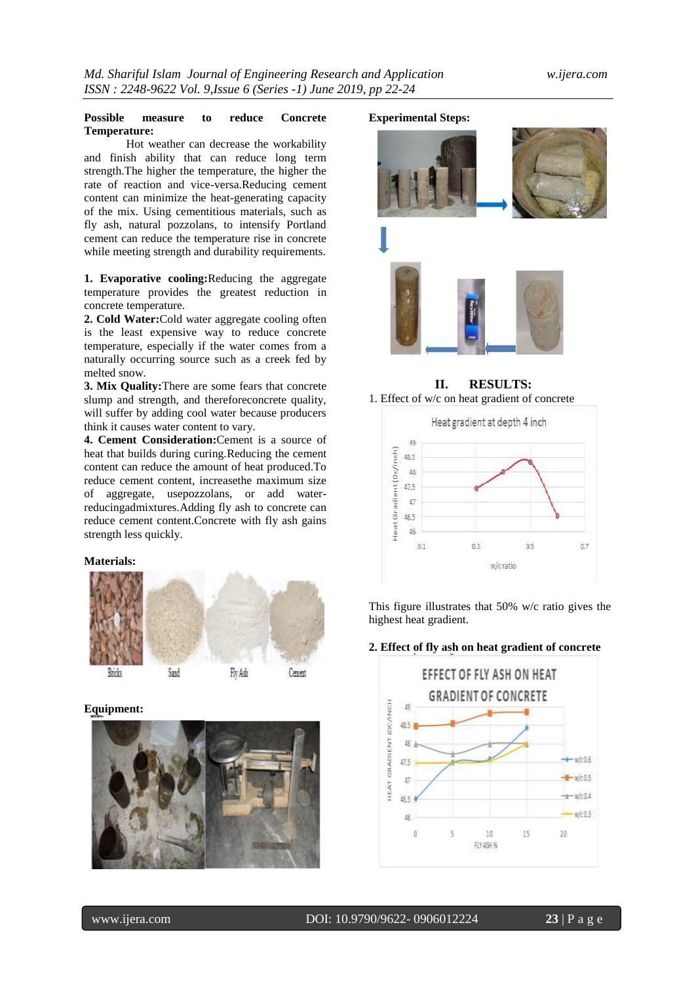## **Possible measure to reduce Concrete Temperature:**

Hot weather can decrease the workability and finish ability that can reduce long term strength.The higher the temperature, the higher the rate of reaction and vice-versa.Reducing cement content can minimize the heat-generating capacity of the mix. Using cementitious materials, such as fly ash, natural pozzolans, to intensify Portland cement can reduce the temperature rise in concrete while meeting strength and durability requirements.

**1. Evaporative cooling:**Reducing the aggregate temperature provides the greatest reduction in concrete temperature.

**2. Cold Water:**Cold water aggregate cooling often is the least expensive way to reduce concrete temperature, especially if the water comes from a naturally occurring source such as a creek fed by melted snow.

**3. Mix Quality:**There are some fears that concrete slump and strength, and thereforeconcrete quality, will suffer by adding cool water because producers think it causes water content to vary.

**4. Cement Consideration:**Cement is a source of heat that builds during curing.Reducing the cement content can reduce the amount of heat produced.To reduce cement content, increasethe maximum size of aggregate, usepozzolans, or add waterreducingadmixtures.Adding fly ash to concrete can reduce cement content.Concrete with fly ash gains strength less quickly.

**Materials:**



## **Equipment:**



#### **Experimental Steps:**



**II. RESULTS:** 1. Effect of w/c on heat gradient of concrete



This figure illustrates that 50% w/c ratio gives the highest heat gradient.

#### **2. Effect of fly ash on heat gradient of concrete**